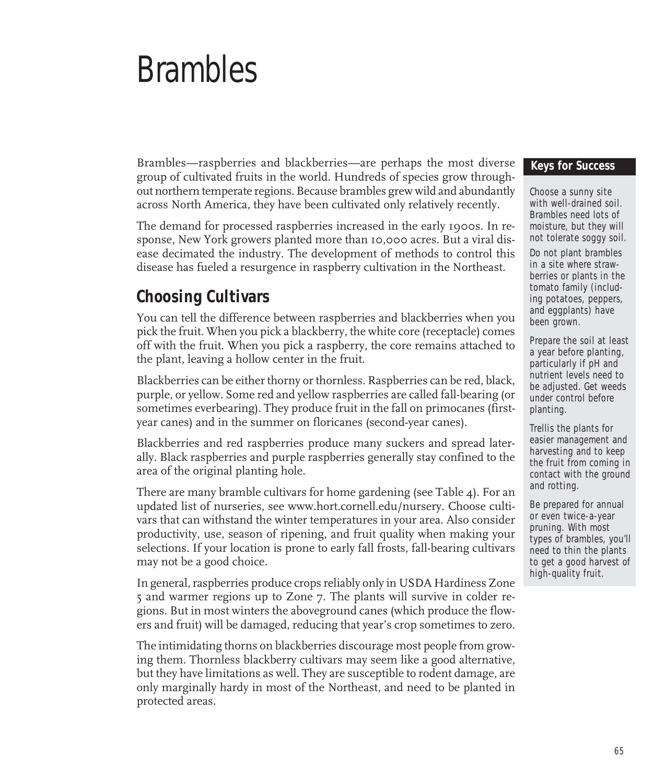# Brambles

Brambles—raspberries and blackberries—are perhaps the most diverse group of cultivated fruits in the world. Hundreds of species grow throughout northern temperate regions. Because brambles grew wild and abundantly across North America, they have been cultivated only relatively recently.

The demand for processed raspberries increased in the early 1900s. In response, New York growers planted more than 10,000 acres. But a viral disease decimated the industry. The development of methods to control this disease has fueled a resurgence in raspberry cultivation in the Northeast.

# **Choosing Cultivars**

You can tell the difference between raspberries and blackberries when you pick the fruit. When you pick a blackberry, the white core (receptacle) comes off with the fruit. When you pick a raspberry, the core remains attached to the plant, leaving a hollow center in the fruit.

Blackberries can be either thorny or thornless. Raspberries can be red, black, purple, or yellow. Some red and yellow raspberries are called fall-bearing (or sometimes everbearing). They produce fruit in the fall on primocanes (firstyear canes) and in the summer on floricanes (second-year canes).

Blackberries and red raspberries produce many suckers and spread laterally. Black raspberries and purple raspberries generally stay confined to the area of the original planting hole.

There are many bramble cultivars for home gardening (see Table 4). For an updated list of nurseries, see www.hort.cornell.edu/nursery. Choose cultivars that can withstand the winter temperatures in your area. Also consider productivity, use, season of ripening, and fruit quality when making your selections. If your location is prone to early fall frosts, fall-bearing cultivars may not be a good choice.

In general, raspberries produce crops reliably only in USDA Hardiness Zone 5 and warmer regions up to Zone 7. The plants will survive in colder regions. But in most winters the aboveground canes (which produce the flowers and fruit) will be damaged, reducing that year's crop sometimes to zero.

The intimidating thorns on blackberries discourage most people from growing them. Thornless blackberry cultivars may seem like a good alternative, but they have limitations as well. They are susceptible to rodent damage, are only marginally hardy in most of the Northeast, and need to be planted in protected areas.

#### **Keys for Success**

Choose a sunny site with well-drained soil. Brambles need lots of moisture, but they will not tolerate soggy soil. Do not plant brambles in a site where strawberries or plants in the tomato family (including potatoes, peppers, and eggplants) have been grown.

Prepare the soil at least a year before planting, particularly if pH and nutrient levels need to be adjusted. Get weeds under control before planting.

Trellis the plants for easier management and harvesting and to keep the fruit from coming in contact with the ground and rotting.

Be prepared for annual or even twice-a-year pruning. With most types of brambles, you'll need to thin the plants to get a good harvest of high-quality fruit.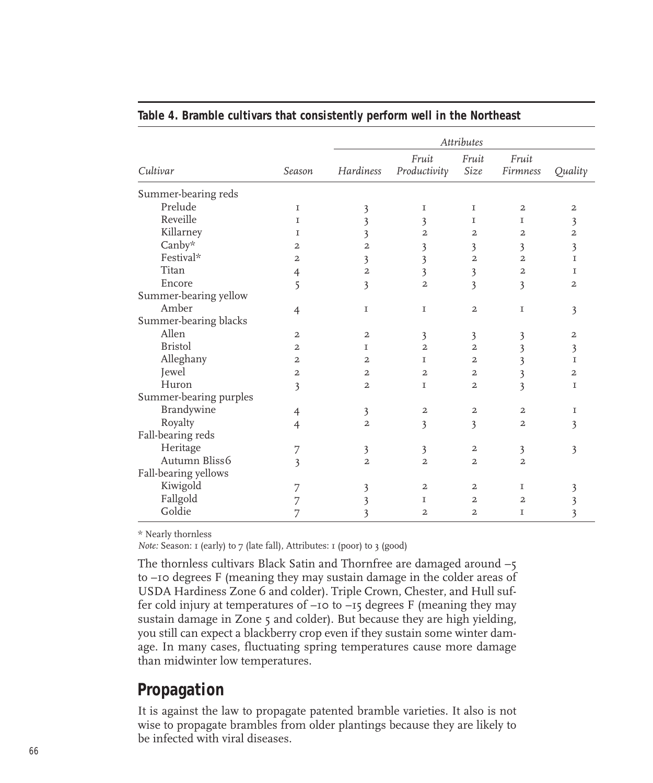| Cultivar               |                | <b>Attributes</b> |                         |                         |                         |                         |
|------------------------|----------------|-------------------|-------------------------|-------------------------|-------------------------|-------------------------|
|                        | Season         | Hardiness         | Fruit<br>Productivity   | Fruit<br>Size           | Fruit<br>Firmness       | Quality                 |
| Summer-bearing reds    |                |                   |                         |                         |                         |                         |
| Prelude                | $\mathbf I$    | 3                 | I                       | I                       | $\overline{a}$          | $\overline{a}$          |
| Reveille               | I              | 3                 | 3                       | I                       | I                       | 3                       |
| Killarney              | I              | 3                 | $\overline{\mathbf{c}}$ | $\overline{a}$          | $\overline{a}$          | $\overline{a}$          |
| Canby*                 | $\overline{a}$ | $\overline{a}$    | 3                       | 3                       | 3                       | 3                       |
| Festival*              | $\overline{a}$ | 3                 | 3                       | $\overline{a}$          | $\overline{\mathbf{2}}$ | $\mathbf I$             |
| Titan                  | 4              | $\overline{a}$    | 3                       | 3                       | $\overline{a}$          | $\mathbf I$             |
| Encore                 | 5              | 3                 | $\overline{a}$          | $\overline{\mathbf{3}}$ | 3                       | $\overline{a}$          |
| Summer-bearing yellow  |                |                   |                         |                         |                         |                         |
| Amber                  | 4              | I                 | I                       | $\overline{a}$          | I                       | 3                       |
| Summer-bearing blacks  |                |                   |                         |                         |                         |                         |
| Allen                  | $\overline{a}$ | $\overline{a}$    | 3                       | 3                       | 3                       | $\overline{a}$          |
| <b>Bristol</b>         | $\overline{a}$ | $\mathbf I$       | $\overline{a}$          | $\overline{a}$          | 3                       | 3                       |
| Alleghany              | $\overline{a}$ | $\overline{a}$    | T                       | $\overline{a}$          | 3                       | $\mathbf I$             |
| Jewel                  | $\overline{a}$ | $\overline{a}$    | $\overline{a}$          | $\overline{a}$          | 3                       | $\overline{a}$          |
| Huron                  | 3              | $\overline{a}$    | I                       | $\overline{a}$          | $\overline{\mathbf{3}}$ | $\mathbf I$             |
| Summer-bearing purples |                |                   |                         |                         |                         |                         |
| Brandywine             | 4              | 3                 | $\mathbf{2}$            | $\overline{a}$          | $\overline{\mathbf{2}}$ | I                       |
| Royalty                | 4              | $\overline{a}$    | 3                       | 3                       | $\overline{a}$          | 3                       |
| Fall-bearing reds      |                |                   |                         |                         |                         |                         |
| Heritage               | 7              | 3                 | 3                       | $\overline{a}$          | 3                       | 3                       |
| Autumn Bliss6          | 3              | $\overline{a}$    | $\overline{a}$          | $\overline{a}$          | $\overline{a}$          |                         |
| Fall-bearing yellows   |                |                   |                         |                         |                         |                         |
| Kiwigold               | 7              | 3                 | $\overline{a}$          | $\overline{a}$          | I                       | 3                       |
| Fallgold               | 7              | 3                 | I                       | $\overline{a}$          | $\overline{a}$          | 3                       |
| Goldie                 | 7              | 3                 | $\mathbf{2}$            | $\overline{\mathbf{2}}$ | I                       | $\overline{\mathbf{3}}$ |

#### **Table 4. Bramble cultivars that consistently perform well in the Northeast**

\* Nearly thornless

*Note: Season: 1 (early) to 7 (late fall), Attributes: 1 (poor) to 3 (good)* 

The thornless cultivars Black Satin and Thornfree are damaged around –5 to –10 degrees F (meaning they may sustain damage in the colder areas of USDA Hardiness Zone 6 and colder). Triple Crown, Chester, and Hull suffer cold injury at temperatures of  $-10$  to  $-15$  degrees F (meaning they may sustain damage in Zone 5 and colder). But because they are high yielding, you still can expect a blackberry crop even if they sustain some winter damage. In many cases, fluctuating spring temperatures cause more damage than midwinter low temperatures.

#### **Propagation**

It is against the law to propagate patented bramble varieties. It also is not wise to propagate brambles from older plantings because they are likely to be infected with viral diseases.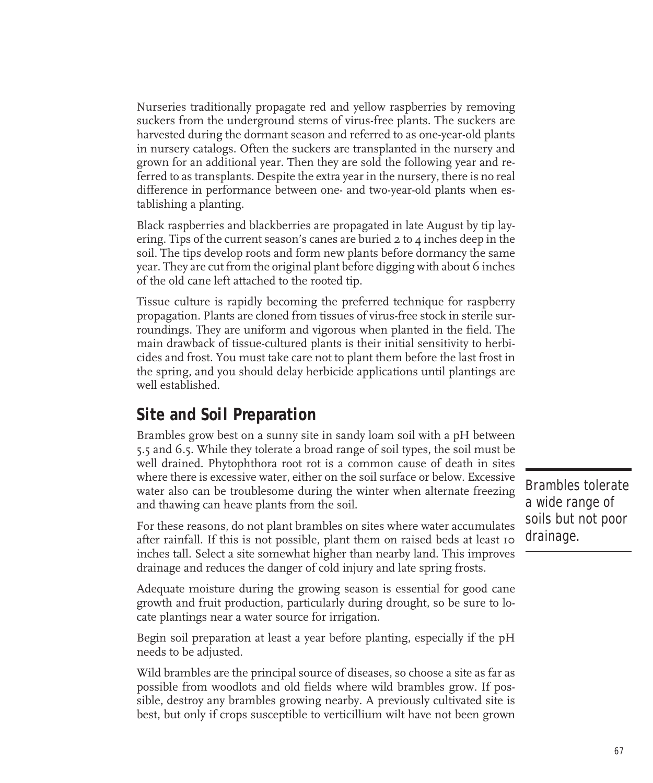Nurseries traditionally propagate red and yellow raspberries by removing suckers from the underground stems of virus-free plants. The suckers are harvested during the dormant season and referred to as one-year-old plants in nursery catalogs. Often the suckers are transplanted in the nursery and grown for an additional year. Then they are sold the following year and referred to as transplants. Despite the extra year in the nursery, there is no real difference in performance between one- and two-year-old plants when establishing a planting.

Black raspberries and blackberries are propagated in late August by tip layering. Tips of the current season's canes are buried 2 to 4 inches deep in the soil. The tips develop roots and form new plants before dormancy the same year. They are cut from the original plant before digging with about 6 inches of the old cane left attached to the rooted tip.

Tissue culture is rapidly becoming the preferred technique for raspberry propagation. Plants are cloned from tissues of virus-free stock in sterile surroundings. They are uniform and vigorous when planted in the field. The main drawback of tissue-cultured plants is their initial sensitivity to herbicides and frost. You must take care not to plant them before the last frost in the spring, and you should delay herbicide applications until plantings are well established.

#### **Site and Soil Preparation**

Brambles grow best on a sunny site in sandy loam soil with a pH between 5.5 and 6.5. While they tolerate a broad range of soil types, the soil must be well drained. Phytophthora root rot is a common cause of death in sites where there is excessive water, either on the soil surface or below. Excessive water also can be troublesome during the winter when alternate freezing and thawing can heave plants from the soil.

For these reasons, do not plant brambles on sites where water accumulates after rainfall. If this is not possible, plant them on raised beds at least 10 inches tall. Select a site somewhat higher than nearby land. This improves drainage and reduces the danger of cold injury and late spring frosts.

Adequate moisture during the growing season is essential for good cane growth and fruit production, particularly during drought, so be sure to locate plantings near a water source for irrigation.

Begin soil preparation at least a year before planting, especially if the pH needs to be adjusted.

Wild brambles are the principal source of diseases, so choose a site as far as possible from woodlots and old fields where wild brambles grow. If possible, destroy any brambles growing nearby. A previously cultivated site is best, but only if crops susceptible to verticillium wilt have not been grown

Brambles tolerate a wide range of soils but not poor drainage.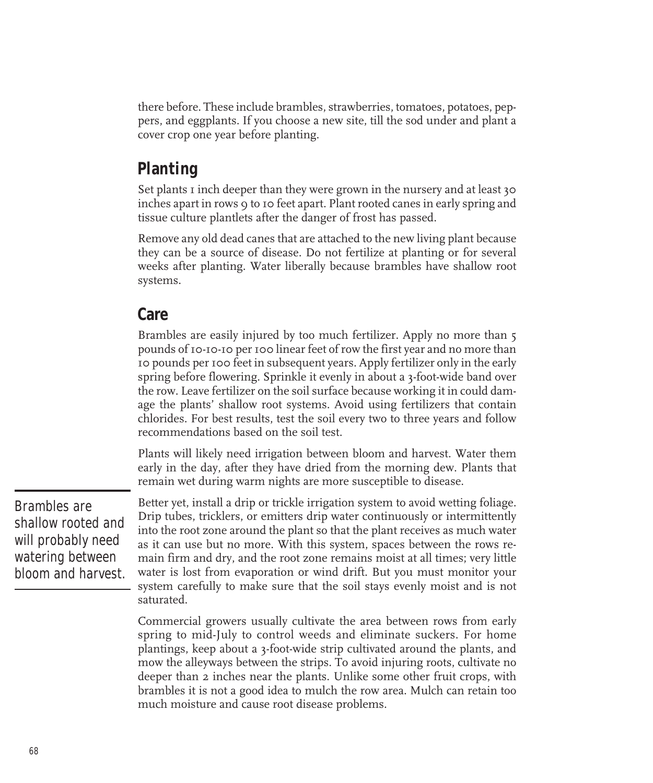there before. These include brambles, strawberries, tomatoes, potatoes, peppers, and eggplants. If you choose a new site, till the sod under and plant a cover crop one year before planting.

# **Planting**

Set plants I inch deeper than they were grown in the nursery and at least 30 inches apart in rows 9 to 10 feet apart. Plant rooted canes in early spring and tissue culture plantlets after the danger of frost has passed.

Remove any old dead canes that are attached to the new living plant because they can be a source of disease. Do not fertilize at planting or for several weeks after planting. Water liberally because brambles have shallow root systems.

#### **Care**

Brambles are easily injured by too much fertilizer. Apply no more than 5 pounds of 10-10-10 per 100 linear feet of row the first year and no more than 10 pounds per 100 feet in subsequent years. Apply fertilizer only in the early spring before flowering. Sprinkle it evenly in about a 3-foot-wide band over the row. Leave fertilizer on the soil surface because working it in could damage the plants' shallow root systems. Avoid using fertilizers that contain chlorides. For best results, test the soil every two to three years and follow recommendations based on the soil test.

Plants will likely need irrigation between bloom and harvest. Water them early in the day, after they have dried from the morning dew. Plants that remain wet during warm nights are more susceptible to disease.

Brambles are shallow rooted and will probably need watering between bloom and harvest.

Better yet, install a drip or trickle irrigation system to avoid wetting foliage. Drip tubes, tricklers, or emitters drip water continuously or intermittently into the root zone around the plant so that the plant receives as much water as it can use but no more. With this system, spaces between the rows remain firm and dry, and the root zone remains moist at all times; very little water is lost from evaporation or wind drift. But you must monitor your system carefully to make sure that the soil stays evenly moist and is not saturated.

Commercial growers usually cultivate the area between rows from early spring to mid-July to control weeds and eliminate suckers. For home plantings, keep about a 3-foot-wide strip cultivated around the plants, and mow the alleyways between the strips. To avoid injuring roots, cultivate no deeper than 2 inches near the plants. Unlike some other fruit crops, with brambles it is not a good idea to mulch the row area. Mulch can retain too much moisture and cause root disease problems.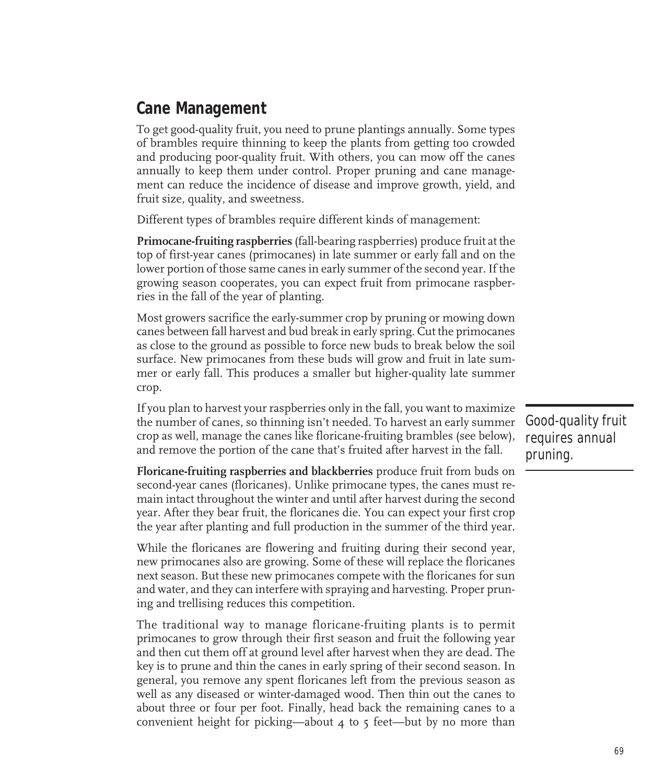### **Cane Management**

To get good-quality fruit, you need to prune plantings annually. Some types of brambles require thinning to keep the plants from getting too crowded and producing poor-quality fruit. With others, you can mow off the canes annually to keep them under control. Proper pruning and cane management can reduce the incidence of disease and improve growth, yield, and fruit size, quality, and sweetness.

Different types of brambles require different kinds of management:

**Primocane-fruiting raspberries** (fall-bearing raspberries) produce fruit at the top of first-year canes (primocanes) in late summer or early fall and on the lower portion of those same canes in early summer of the second year. If the growing season cooperates, you can expect fruit from primocane raspberries in the fall of the year of planting.

Most growers sacrifice the early-summer crop by pruning or mowing down canes between fall harvest and bud break in early spring. Cut the primocanes as close to the ground as possible to force new buds to break below the soil surface. New primocanes from these buds will grow and fruit in late summer or early fall. This produces a smaller but higher-quality late summer crop.

If you plan to harvest your raspberries only in the fall, you want to maximize the number of canes, so thinning isn't needed. To harvest an early summer crop as well, manage the canes like floricane-fruiting brambles (see below), and remove the portion of the cane that's fruited after harvest in the fall.

**Floricane-fruiting raspberries and blackberries** produce fruit from buds on second-year canes (floricanes). Unlike primocane types, the canes must remain intact throughout the winter and until after harvest during the second year. After they bear fruit, the floricanes die. You can expect your first crop the year after planting and full production in the summer of the third year.

While the floricanes are flowering and fruiting during their second year, new primocanes also are growing. Some of these will replace the floricanes next season. But these new primocanes compete with the floricanes for sun and water, and they can interfere with spraying and harvesting. Proper pruning and trellising reduces this competition.

The traditional way to manage floricane-fruiting plants is to permit primocanes to grow through their first season and fruit the following year and then cut them off at ground level after harvest when they are dead. The key is to prune and thin the canes in early spring of their second season. In general, you remove any spent floricanes left from the previous season as well as any diseased or winter-damaged wood. Then thin out the canes to about three or four per foot. Finally, head back the remaining canes to a convenient height for picking—about 4 to 5 feet—but by no more than

#### Good-quality fruit requires annual pruning.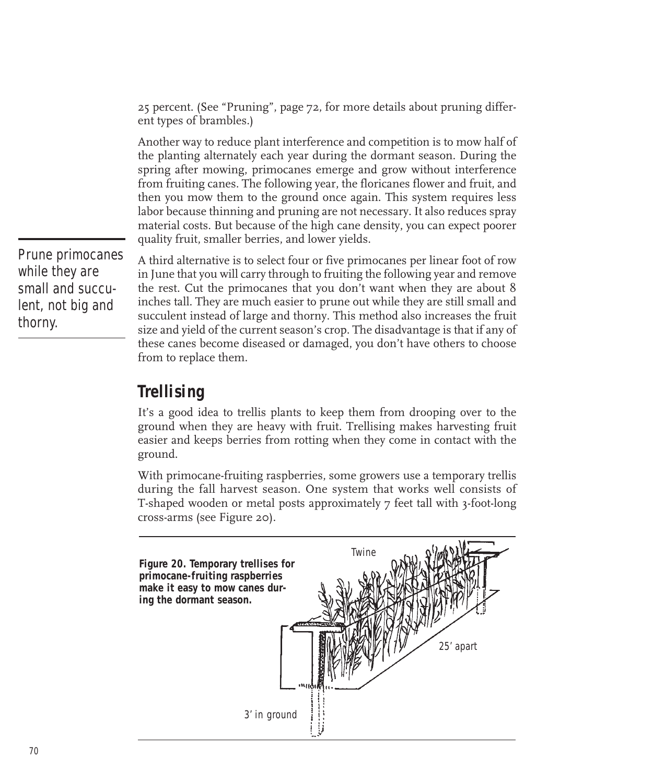25 percent. (See "Pruning", page 72, for more details about pruning different types of brambles.)

Another way to reduce plant interference and competition is to mow half of the planting alternately each year during the dormant season. During the spring after mowing, primocanes emerge and grow without interference from fruiting canes. The following year, the floricanes flower and fruit, and then you mow them to the ground once again. This system requires less labor because thinning and pruning are not necessary. It also reduces spray material costs. But because of the high cane density, you can expect poorer quality fruit, smaller berries, and lower yields.

A third alternative is to select four or five primocanes per linear foot of row in June that you will carry through to fruiting the following year and remove the rest. Cut the primocanes that you don't want when they are about 8 inches tall. They are much easier to prune out while they are still small and succulent instead of large and thorny. This method also increases the fruit size and yield of the current season's crop. The disadvantage is that if any of these canes become diseased or damaged, you don't have others to choose from to replace them.

## **Trellising**

It's a good idea to trellis plants to keep them from drooping over to the ground when they are heavy with fruit. Trellising makes harvesting fruit easier and keeps berries from rotting when they come in contact with the ground.

With primocane-fruiting raspberries, some growers use a temporary trellis during the fall harvest season. One system that works well consists of T-shaped wooden or metal posts approximately 7 feet tall with 3-foot-long cross-arms (see Figure 20).



Prune primocanes while they are small and succulent, not big and thorny.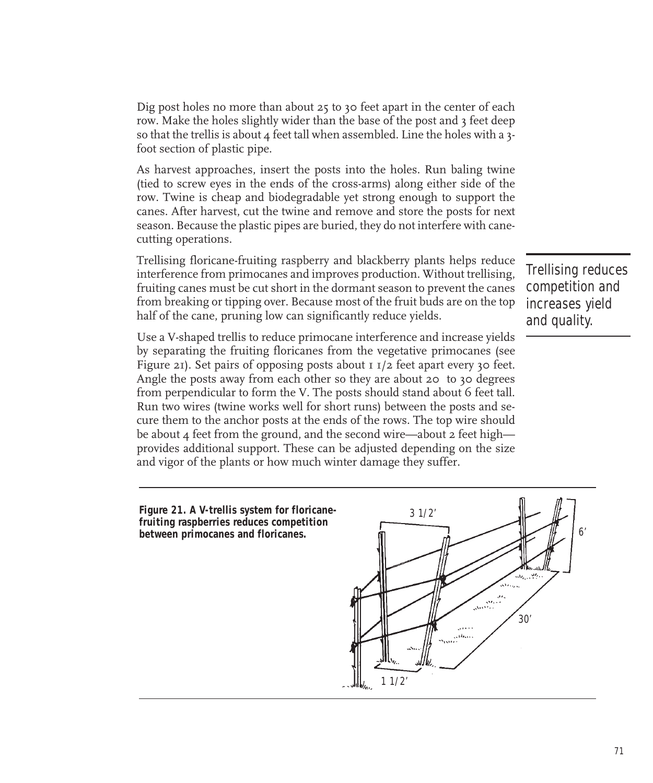Dig post holes no more than about 25 to 30 feet apart in the center of each row. Make the holes slightly wider than the base of the post and 3 feet deep so that the trellis is about 4 feet tall when assembled. Line the holes with a 3foot section of plastic pipe.

As harvest approaches, insert the posts into the holes. Run baling twine (tied to screw eyes in the ends of the cross-arms) along either side of the row. Twine is cheap and biodegradable yet strong enough to support the canes. After harvest, cut the twine and remove and store the posts for next season. Because the plastic pipes are buried, they do not interfere with canecutting operations.

Trellising floricane-fruiting raspberry and blackberry plants helps reduce interference from primocanes and improves production. Without trellising, fruiting canes must be cut short in the dormant season to prevent the canes from breaking or tipping over. Because most of the fruit buds are on the top half of the cane, pruning low can significantly reduce yields.

Use a V-shaped trellis to reduce primocane interference and increase yields by separating the fruiting floricanes from the vegetative primocanes (see Figure 21). Set pairs of opposing posts about  $1/2$  feet apart every 30 feet. Angle the posts away from each other so they are about 20 to 30 degrees from perpendicular to form the V. The posts should stand about 6 feet tall. Run two wires (twine works well for short runs) between the posts and secure them to the anchor posts at the ends of the rows. The top wire should be about 4 feet from the ground, and the second wire—about 2 feet high provides additional support. These can be adjusted depending on the size and vigor of the plants or how much winter damage they suffer.

Trellising reduces competition and increases yield and quality.



**Figure 21. A V-trellis system for floricanefruiting raspberries reduces competition**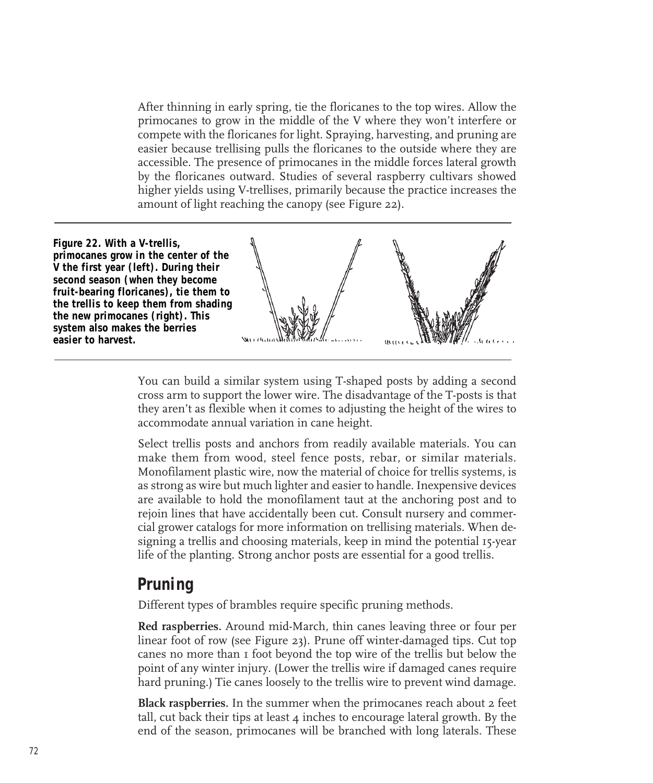After thinning in early spring, tie the floricanes to the top wires. Allow the primocanes to grow in the middle of the V where they won't interfere or compete with the floricanes for light. Spraying, harvesting, and pruning are easier because trellising pulls the floricanes to the outside where they are accessible. The presence of primocanes in the middle forces lateral growth by the floricanes outward. Studies of several raspberry cultivars showed higher yields using V-trellises, primarily because the practice increases the amount of light reaching the canopy (see Figure 22).

**Figure 22. With a V-trellis, primocanes grow in the center of the V the first year (left). During their second season (when they become fruit-bearing floricanes), tie them to the trellis to keep them from shading the new primocanes (right). This system also makes the berries easier to harvest.**



You can build a similar system using T-shaped posts by adding a second cross arm to support the lower wire. The disadvantage of the T-posts is that they aren't as flexible when it comes to adjusting the height of the wires to accommodate annual variation in cane height.

Select trellis posts and anchors from readily available materials. You can make them from wood, steel fence posts, rebar, or similar materials. Monofilament plastic wire, now the material of choice for trellis systems, is as strong as wire but much lighter and easier to handle. Inexpensive devices are available to hold the monofilament taut at the anchoring post and to rejoin lines that have accidentally been cut. Consult nursery and commercial grower catalogs for more information on trellising materials. When designing a trellis and choosing materials, keep in mind the potential 15-year life of the planting. Strong anchor posts are essential for a good trellis.

#### **Pruning**

Different types of brambles require specific pruning methods.

**Red raspberries.** Around mid-March, thin canes leaving three or four per linear foot of row (see Figure 23). Prune off winter-damaged tips. Cut top canes no more than 1 foot beyond the top wire of the trellis but below the point of any winter injury. (Lower the trellis wire if damaged canes require hard pruning.) Tie canes loosely to the trellis wire to prevent wind damage.

**Black raspberries.** In the summer when the primocanes reach about 2 feet tall, cut back their tips at least  $\mu$  inches to encourage lateral growth. By the end of the season, primocanes will be branched with long laterals. These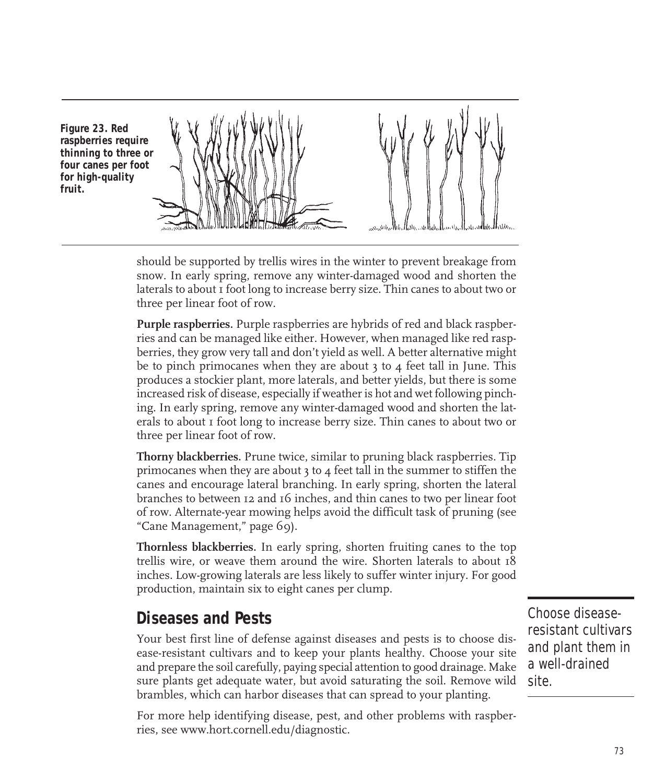**Figure 23. Red raspberries require thinning to three or four canes per foot for high-quality fruit.**



should be supported by trellis wires in the winter to prevent breakage from snow. In early spring, remove any winter-damaged wood and shorten the laterals to about 1 foot long to increase berry size. Thin canes to about two or three per linear foot of row.

**Purple raspberries.** Purple raspberries are hybrids of red and black raspberries and can be managed like either. However, when managed like red raspberries, they grow very tall and don't yield as well. A better alternative might be to pinch primocanes when they are about 3 to 4 feet tall in June. This produces a stockier plant, more laterals, and better yields, but there is some increased risk of disease, especially if weather is hot and wet following pinching. In early spring, remove any winter-damaged wood and shorten the laterals to about 1 foot long to increase berry size. Thin canes to about two or three per linear foot of row.

**Thorny blackberries.** Prune twice, similar to pruning black raspberries. Tip primocanes when they are about 3 to 4 feet tall in the summer to stiffen the canes and encourage lateral branching. In early spring, shorten the lateral branches to between 12 and 16 inches, and thin canes to two per linear foot of row. Alternate-year mowing helps avoid the difficult task of pruning (see "Cane Management," page 69).

**Thornless blackberries.** In early spring, shorten fruiting canes to the top trellis wire, or weave them around the wire. Shorten laterals to about 18 inches. Low-growing laterals are less likely to suffer winter injury. For good production, maintain six to eight canes per clump.

# **Diseases and Pests**

Your best first line of defense against diseases and pests is to choose disease-resistant cultivars and to keep your plants healthy. Choose your site and prepare the soil carefully, paying special attention to good drainage. Make sure plants get adequate water, but avoid saturating the soil. Remove wild brambles, which can harbor diseases that can spread to your planting.

For more help identifying disease, pest, and other problems with raspberries, see www.hort.cornell.edu/diagnostic.

Choose diseaseresistant cultivars and plant them in a well-drained site.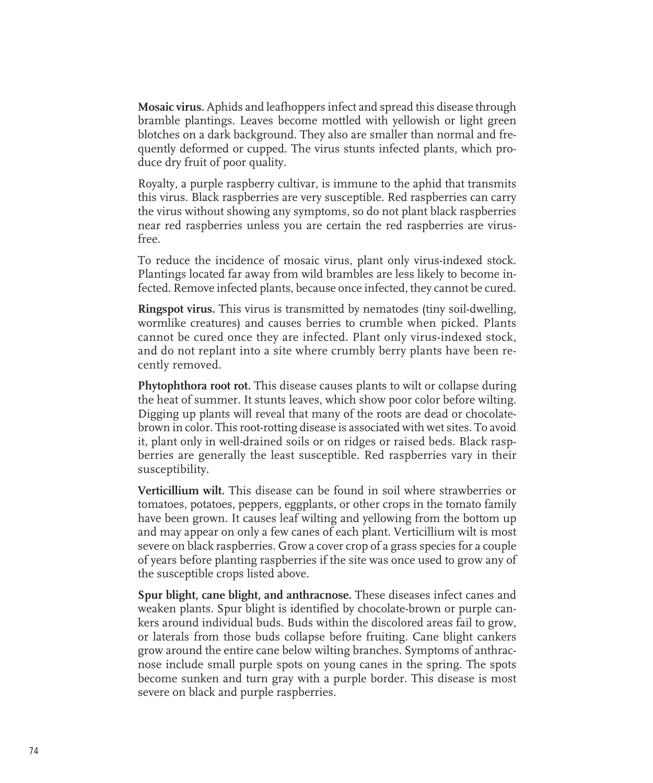**Mosaic virus.** Aphids and leafhoppers infect and spread this disease through bramble plantings. Leaves become mottled with yellowish or light green blotches on a dark background. They also are smaller than normal and frequently deformed or cupped. The virus stunts infected plants, which produce dry fruit of poor quality.

Royalty, a purple raspberry cultivar, is immune to the aphid that transmits this virus. Black raspberries are very susceptible. Red raspberries can carry the virus without showing any symptoms, so do not plant black raspberries near red raspberries unless you are certain the red raspberries are virusfree.

To reduce the incidence of mosaic virus, plant only virus-indexed stock. Plantings located far away from wild brambles are less likely to become infected. Remove infected plants, because once infected, they cannot be cured.

**Ringspot virus.** This virus is transmitted by nematodes (tiny soil-dwelling, wormlike creatures) and causes berries to crumble when picked. Plants cannot be cured once they are infected. Plant only virus-indexed stock, and do not replant into a site where crumbly berry plants have been recently removed.

**Phytophthora root rot.** This disease causes plants to wilt or collapse during the heat of summer. It stunts leaves, which show poor color before wilting. Digging up plants will reveal that many of the roots are dead or chocolatebrown in color. This root-rotting disease is associated with wet sites. To avoid it, plant only in well-drained soils or on ridges or raised beds. Black raspberries are generally the least susceptible. Red raspberries vary in their susceptibility.

**Verticillium wilt.** This disease can be found in soil where strawberries or tomatoes, potatoes, peppers, eggplants, or other crops in the tomato family have been grown. It causes leaf wilting and yellowing from the bottom up and may appear on only a few canes of each plant. Verticillium wilt is most severe on black raspberries. Grow a cover crop of a grass species for a couple of years before planting raspberries if the site was once used to grow any of the susceptible crops listed above.

**Spur blight, cane blight, and anthracnose.** These diseases infect canes and weaken plants. Spur blight is identified by chocolate-brown or purple cankers around individual buds. Buds within the discolored areas fail to grow, or laterals from those buds collapse before fruiting. Cane blight cankers grow around the entire cane below wilting branches. Symptoms of anthracnose include small purple spots on young canes in the spring. The spots become sunken and turn gray with a purple border. This disease is most severe on black and purple raspberries.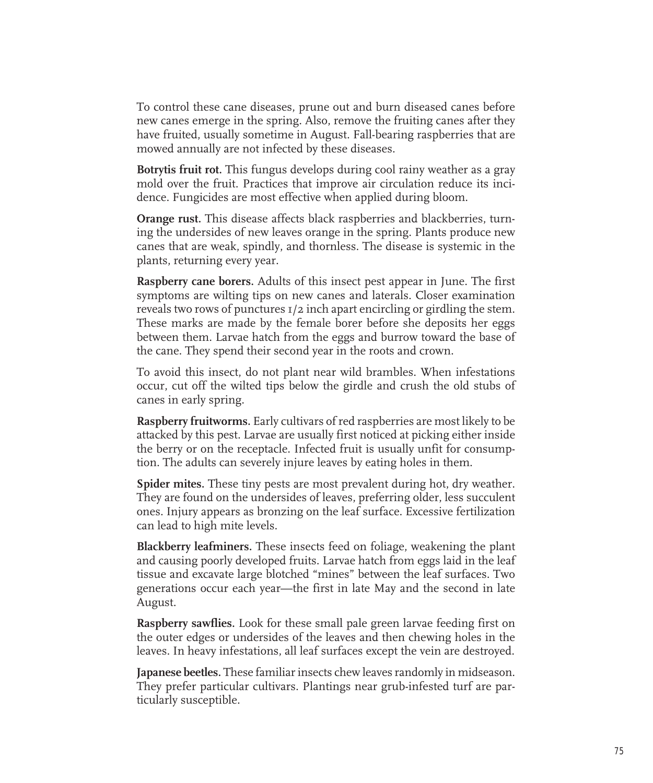To control these cane diseases, prune out and burn diseased canes before new canes emerge in the spring. Also, remove the fruiting canes after they have fruited, usually sometime in August. Fall-bearing raspberries that are mowed annually are not infected by these diseases.

**Botrytis fruit rot.** This fungus develops during cool rainy weather as a gray mold over the fruit. Practices that improve air circulation reduce its incidence. Fungicides are most effective when applied during bloom.

**Orange rust.** This disease affects black raspberries and blackberries, turning the undersides of new leaves orange in the spring. Plants produce new canes that are weak, spindly, and thornless. The disease is systemic in the plants, returning every year.

**Raspberry cane borers.** Adults of this insect pest appear in June. The first symptoms are wilting tips on new canes and laterals. Closer examination reveals two rows of punctures 1/2 inch apart encircling or girdling the stem. These marks are made by the female borer before she deposits her eggs between them. Larvae hatch from the eggs and burrow toward the base of the cane. They spend their second year in the roots and crown.

To avoid this insect, do not plant near wild brambles. When infestations occur, cut off the wilted tips below the girdle and crush the old stubs of canes in early spring.

**Raspberry fruitworms.** Early cultivars of red raspberries are most likely to be attacked by this pest. Larvae are usually first noticed at picking either inside the berry or on the receptacle. Infected fruit is usually unfit for consumption. The adults can severely injure leaves by eating holes in them.

**Spider mites.** These tiny pests are most prevalent during hot, dry weather. They are found on the undersides of leaves, preferring older, less succulent ones. Injury appears as bronzing on the leaf surface. Excessive fertilization can lead to high mite levels.

**Blackberry leafminers.** These insects feed on foliage, weakening the plant and causing poorly developed fruits. Larvae hatch from eggs laid in the leaf tissue and excavate large blotched "mines" between the leaf surfaces. Two generations occur each year—the first in late May and the second in late August.

**Raspberry sawflies.** Look for these small pale green larvae feeding first on the outer edges or undersides of the leaves and then chewing holes in the leaves. In heavy infestations, all leaf surfaces except the vein are destroyed.

**Japanese beetles.** These familiar insects chew leaves randomly in midseason. They prefer particular cultivars. Plantings near grub-infested turf are particularly susceptible.